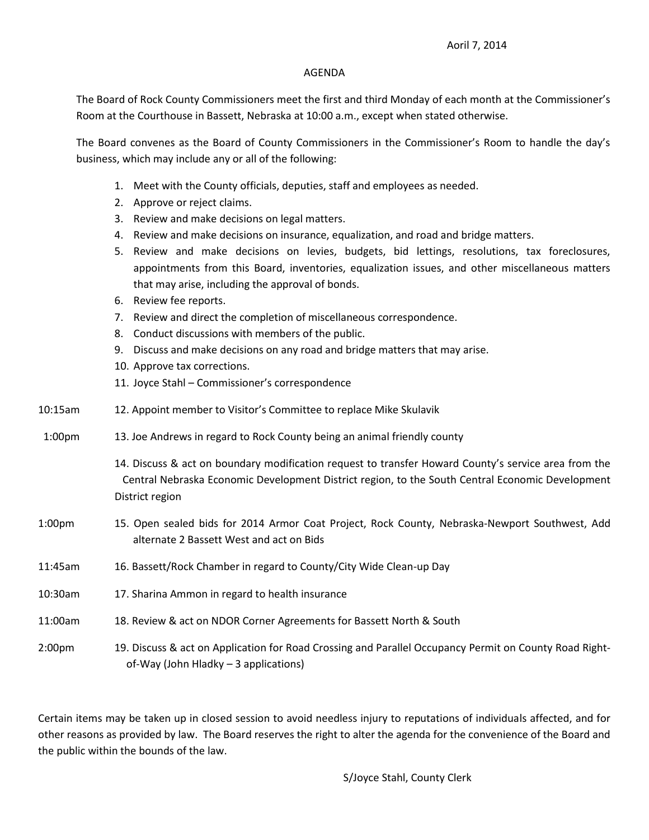## Aoril 7, 2014

## AGENDA

The Board of Rock County Commissioners meet the first and third Monday of each month at the Commissioner's Room at the Courthouse in Bassett, Nebraska at 10:00 a.m., except when stated otherwise.

The Board convenes as the Board of County Commissioners in the Commissioner's Room to handle the day's business, which may include any or all of the following:

- 1. Meet with the County officials, deputies, staff and employees as needed.
- 2. Approve or reject claims.
- 3. Review and make decisions on legal matters.
- 4. Review and make decisions on insurance, equalization, and road and bridge matters.
- 5. Review and make decisions on levies, budgets, bid lettings, resolutions, tax foreclosures, appointments from this Board, inventories, equalization issues, and other miscellaneous matters that may arise, including the approval of bonds.
- 6. Review fee reports.
- 7. Review and direct the completion of miscellaneous correspondence.
- 8. Conduct discussions with members of the public.
- 9. Discuss and make decisions on any road and bridge matters that may arise.
- 10. Approve tax corrections.
- 11. Joyce Stahl Commissioner's correspondence
- 10:15am 12. Appoint member to Visitor's Committee to replace Mike Skulavik
- 1:00pm 13. Joe Andrews in regard to Rock County being an animal friendly county

14. Discuss & act on boundary modification request to transfer Howard County's service area from the Central Nebraska Economic Development District region, to the South Central Economic Development District region

- 1:00pm 15. Open sealed bids for 2014 Armor Coat Project, Rock County, Nebraska-Newport Southwest, Add alternate 2 Bassett West and act on Bids
- 11:45am 16. Bassett/Rock Chamber in regard to County/City Wide Clean-up Day
- 10:30am 17. Sharina Ammon in regard to health insurance
- 11:00am 18. Review & act on NDOR Corner Agreements for Bassett North & South

2:00pm 19. Discuss & act on Application for Road Crossing and Parallel Occupancy Permit on County Road Right of-Way (John Hladky – 3 applications)

Certain items may be taken up in closed session to avoid needless injury to reputations of individuals affected, and for other reasons as provided by law. The Board reserves the right to alter the agenda for the convenience of the Board and the public within the bounds of the law.

S/Joyce Stahl, County Clerk